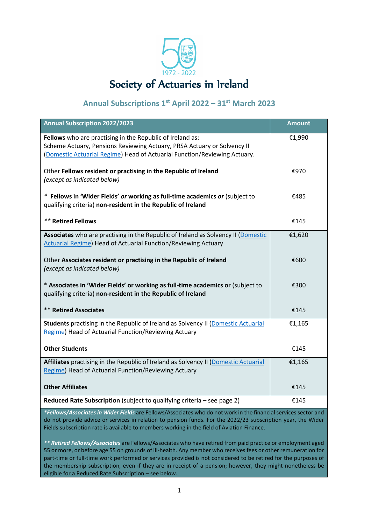

# **Annual Subscriptions 1 st April 2022 – 31st March 2023**

| <b>Annual Subscription 2022/2023</b>                                                                                                                                                                              | <b>Amount</b> |
|-------------------------------------------------------------------------------------------------------------------------------------------------------------------------------------------------------------------|---------------|
| Fellows who are practising in the Republic of Ireland as:<br>Scheme Actuary, Pensions Reviewing Actuary, PRSA Actuary or Solvency II<br>(Domestic Actuarial Regime) Head of Actuarial Function/Reviewing Actuary. | €1,990        |
| Other Fellows resident or practising in the Republic of Ireland<br>(except as indicated below)                                                                                                                    | €970          |
| * Fellows in 'Wider Fields' or working as full-time academics or (subject to<br>qualifying criteria) non-resident in the Republic of Ireland                                                                      | €485          |
| <b>** Retired Fellows</b>                                                                                                                                                                                         | €145          |
| Associates who are practising in the Republic of Ireland as Solvency II (Domestic<br><b>Actuarial Regime) Head of Actuarial Function/Reviewing Actuary</b>                                                        | €1,620        |
| Other Associates resident or practising in the Republic of Ireland<br>(except as indicated below)                                                                                                                 | €600          |
| * Associates in 'Wider Fields' or working as full-time academics or (subject to<br>qualifying criteria) non-resident in the Republic of Ireland                                                                   | €300          |
| <b>** Retired Associates</b>                                                                                                                                                                                      | €145          |
| Students practising in the Republic of Ireland as Solvency II (Domestic Actuarial<br>Regime) Head of Actuarial Function/Reviewing Actuary                                                                         | €1,165        |
| <b>Other Students</b>                                                                                                                                                                                             | €145          |
| Affiliates practising in the Republic of Ireland as Solvency II (Domestic Actuarial<br>Regime) Head of Actuarial Function/Reviewing Actuary                                                                       | €1,165        |
| <b>Other Affiliates</b>                                                                                                                                                                                           | €145          |
| Reduced Rate Subscription (subject to qualifying criteria - see page 2)<br>*Follows (Associates in Widow Fields are Follows (Associates who do not work in the financial comieses see                             | €145          |

*\*Fellows/Associates in Wider Fields* are Fellows/Associates who do not work in the financial services sector and do not provide advice or services in relation to pension funds. For the 2022/23 subscription year, the Wider Fields subscription rate is available to members working in the field of Aviation Finance.

*\*\* Retired Fellows/Associates* are Fellows/Associates who have retired from paid practice or employment aged 55 or more, or before age 55 on grounds of ill-health. Any member who receives fees or other remuneration for part-time or full-time work performed or services provided is not considered to be retired for the purposes of the membership subscription, even if they are in receipt of a pension; however, they might nonetheless be eligible for a Reduced Rate Subscription – see below.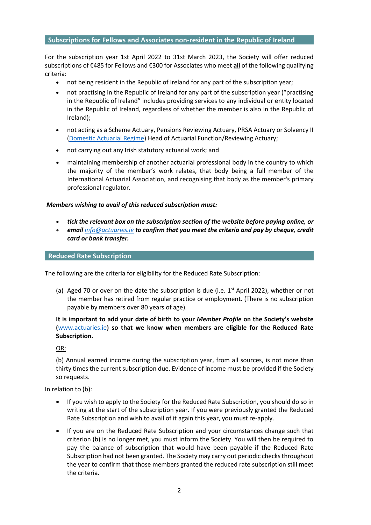#### **Subscriptions for Fellows and Associates non-resident in the Republic of Ireland**

For the subscription year 1st April 2022 to 31st March 2023, the Society will offer reduced subscriptions of €485 for Fellows and €300 for Associates who meet **all** of the following qualifying criteria:

- not being resident in the Republic of Ireland for any part of the subscription year;
- not practising in the Republic of Ireland for any part of the subscription year ("practising in the Republic of Ireland" includes providing services to any individual or entity located in the Republic of Ireland, regardless of whether the member is also in the Republic of Ireland);
- not acting as a Scheme Actuary, Pensions Reviewing Actuary, PRSA Actuary or Solvency II [\(Domestic Actuarial Regime\)](https://www.centralbank.ie/docs/default-source/regulation/industry-market-sectors/insurance-reinsurance/solvency-ii/requirements-and-guidance/domestic-actuarial-regime-and-related-governance-requirements-under-solvency-ii.pdf?sfvrsn=2) Head of Actuarial Function/Reviewing Actuary;
- not carrying out any Irish statutory actuarial work; and
- maintaining membership of another actuarial professional body in the country to which the majority of the member's work relates, that body being a full member of the International Actuarial Association, and recognising that body as the member's primary professional regulator.

#### *Members wishing to avail of this reduced subscription must:*

- *tick the relevant box on the subscription section of the website before paying online, or*
- *email [info@actuaries.ie](mailto:info@actuaries.ie) to confirm that you meet the criteria and pay by cheque, credit card or bank transfer.*

#### **Reduced Rate Subscription**

The following are the criteria for eligibility for the Reduced Rate Subscription:

(a) Aged 70 or over on the date the subscription is due (i.e.  $1<sup>st</sup>$  April 2022), whether or not the member has retired from regular practice or employment. (There is no subscription payable by members over 80 years of age).

# **It is important to add your date of birth to your** *Member Profile* **on the Society's website (**[www.actuaries.ie](http://www.actuaries.ie/)**) so that we know when members are eligible for the Reduced Rate Subscription.**

OR:

(b) Annual earned income during the subscription year, from all sources, is not more than thirty times the current subscription due. Evidence of income must be provided if the Society so requests.

In relation to (b):

- If you wish to apply to the Society for the Reduced Rate Subscription, you should do so in writing at the start of the subscription year. If you were previously granted the Reduced Rate Subscription and wish to avail of it again this year, you must re-apply.
- If you are on the Reduced Rate Subscription and your circumstances change such that criterion (b) is no longer met, you must inform the Society. You will then be required to pay the balance of subscription that would have been payable if the Reduced Rate Subscription had not been granted. The Society may carry out periodic checks throughout the year to confirm that those members granted the reduced rate subscription still meet the criteria.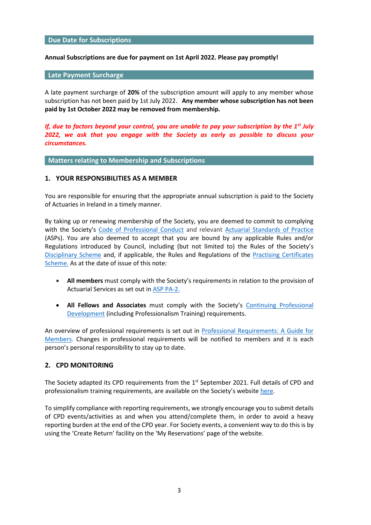#### **Due Date for Subscriptions**

#### **Annual Subscriptions are due for payment on 1st April 2022. Please pay promptly!**

#### **Late Payment Surcharge**

A late payment surcharge of **20%** of the subscription amount will apply to any member whose subscription has not been paid by 1st July 2022. **Any member whose subscription has not been paid by 1st October 2022 may be removed from membership.** 

*If, due to factors beyond your control, you are unable to pay your subscription by the 1st July 2022, we ask that you engage with the Society as early as possible to discuss your circumstances.*

**Matters relating to Membership and Subscriptions**

#### **1. YOUR RESPONSIBILITIES AS A MEMBER**

You are responsible for ensuring that the appropriate annual subscription is paid to the Society of Actuaries in Ireland in a timely manner.

By taking up or renewing membership of the Society, you are deemed to commit to complying with the Society's [Code of Professional Conduct](https://web.actuaries.ie/standards-regulation/code-professional-conduct) and relevant [Actuarial Standards of Practice](https://web.actuaries.ie/standards/asp) (ASPs). You are also deemed to accept that you are bound by any applicable Rules and/or Regulations introduced by Council, including (but not limited to) the Rules of the Society's [Disciplinary Scheme](https://web.actuaries.ie/standards-regulation/disciplinary-scheme) and, if applicable, the Rules and Regulations of the [Practising Certificates](https://web.actuaries.ie/standards-regulation/practising-certificates)  [Scheme.](https://web.actuaries.ie/standards-regulation/practising-certificates) As at the date of issue of this note:

- **All members** must comply with the Society's requirements in relation to the provision of Actuarial Services as set out in [ASP PA-2.](https://web.actuaries.ie/standards/asp/asp-pa-2)
- **All Fellows and Associates** must comply with the Society's [Continuing Professional](https://web.actuaries.ie/standards-regulation/continuing-professional-development)  [Development](https://web.actuaries.ie/standards-regulation/continuing-professional-development) (including Professionalism Training) requirements.

An overview of professional requirements is set out in [Professional Requirements: A Guide for](https://web.actuaries.ie/standards-regulation/actuarial-standards-practice/professional-requirements-guide)  [Members.](https://web.actuaries.ie/standards-regulation/actuarial-standards-practice/professional-requirements-guide) Changes in professional requirements will be notified to members and it is each person's personal responsibility to stay up to date.

#### **2. CPD MONITORING**

The Society adapted its CPD requirements from the  $1<sup>st</sup>$  September 2021. Full details of CPD and professionalism training requirements, are available on the Society's website [here.](https://web.actuaries.ie/standards-regulation/continuing-professional-development)

To simplify compliance with reporting requirements, we strongly encourage you to submit details of CPD events/activities as and when you attend/complete them, in order to avoid a heavy reporting burden at the end of the CPD year. For Society events, a convenient way to do this is by using the 'Create Return' facility on the 'My Reservations' page of the website.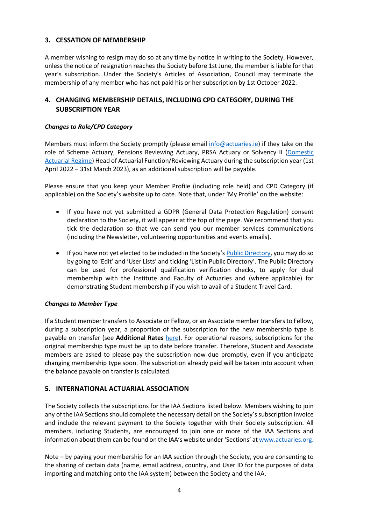# **3. CESSATION OF MEMBERSHIP**

A member wishing to resign may do so at any time by notice in writing to the Society. However, unless the notice of resignation reaches the Society before 1st June, the member is liable for that year's subscription. Under the Society's Articles of Association, Council may terminate the membership of any member who has not paid his or her subscription by 1st October 2022.

# **4. CHANGING MEMBERSHIP DETAILS, INCLUDING CPD CATEGORY, DURING THE SUBSCRIPTION YEAR**

# *Changes to Role/CPD Category*

Members must inform the Society promptly (please email [info@actuaries.ie\)](mailto:info@actuaries.ie) if they take on the role of Scheme Actuary, Pensions Reviewing Actuary, PRSA Actuary or Solvency II [\(Domestic](https://www.centralbank.ie/docs/default-source/regulation/industry-market-sectors/insurance-reinsurance/solvency-ii/requirements-and-guidance/domestic-actuarial-regime-and-related-governance-requirements-under-solvency-ii.pdf?sfvrsn=2)  [Actuarial Regime\)](https://www.centralbank.ie/docs/default-source/regulation/industry-market-sectors/insurance-reinsurance/solvency-ii/requirements-and-guidance/domestic-actuarial-regime-and-related-governance-requirements-under-solvency-ii.pdf?sfvrsn=2) Head of Actuarial Function/Reviewing Actuary during the subscription year (1st April 2022 – 31st March 2023), as an additional subscription will be payable.

Please ensure that you keep your Member Profile (including role held) and CPD Category (if applicable) on the Society's website up to date. Note that, under 'My Profile' on the website:

- If you have not yet submitted a GDPR (General Data Protection Regulation) consent declaration to the Society, it will appear at the top of the page. We recommend that you tick the declaration so that we can send you our member services communications (including the Newsletter, volunteering opportunities and events emails).
- If you have not yet elected to be included in the Society's Public [Directory,](https://web.actuaries.ie/find-actuary) you may do so by going to 'Edit' and 'User Lists' and ticking 'List in Public Directory'. The Public Directory can be used for professional qualification verification checks, to apply for dual membership with the Institute and Faculty of Actuaries and (where applicable) for demonstrating Student membership if you wish to avail of a Student Travel Card.

# *Changes to Member Type*

If a Student member transfers to Associate or Fellow, or an Associate member transfers to Fellow, during a subscription year, a proportion of the subscription for the new membership type is payable on transfer (see **Additional Rates** [here\)](https://web.actuaries.ie/subscription-schedule). For operational reasons, subscriptions for the original membership type must be up to date before transfer. Therefore, Student and Associate members are asked to please pay the subscription now due promptly, even if you anticipate changing membership type soon. The subscription already paid will be taken into account when the balance payable on transfer is calculated.

# **5. INTERNATIONAL ACTUARIAL ASSOCIATION**

The Society collects the subscriptions for the IAA Sections listed below. Members wishing to join any of the IAA Sections should complete the necessary detail on the Society's subscription invoice and include the relevant payment to the Society together with their Society subscription. All members, including Students, are encouraged to join one or more of the IAA Sections and information about them can be found on the IAA's website under 'Sections' at [www.actuaries.org.](http://www.actuaries.org/)

Note – by paying your membership for an IAA section through the Society, you are consenting to the sharing of certain data (name, email address, country, and User ID for the purposes of data importing and matching onto the IAA system) between the Society and the IAA.